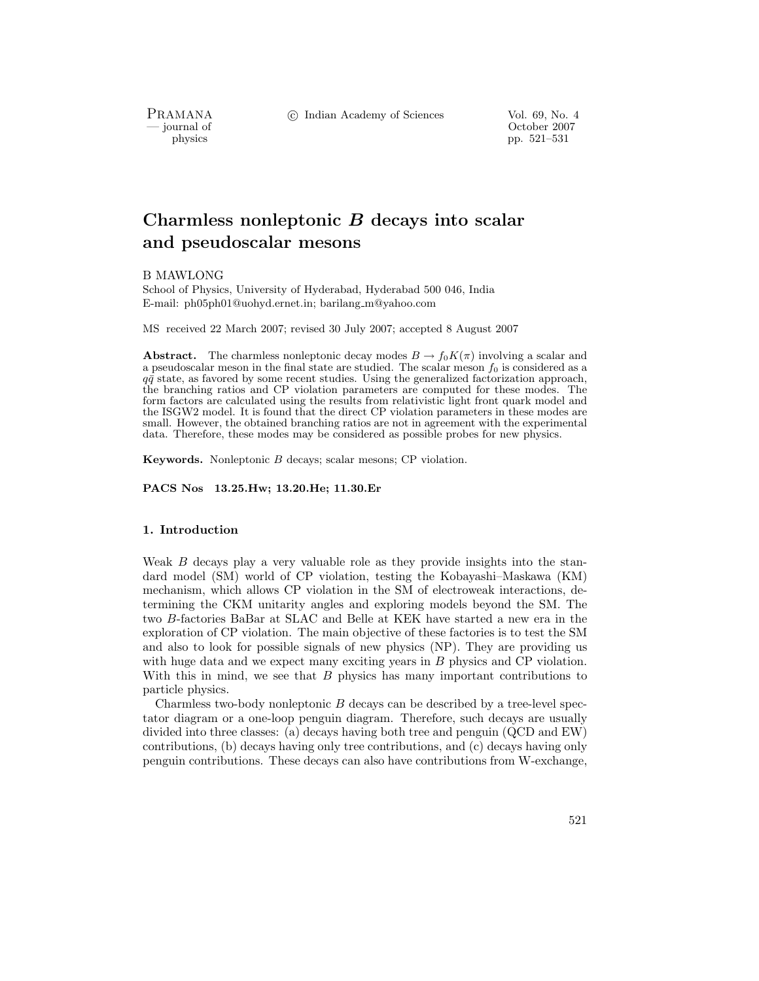PRAMANA<br>— journal of

c Indian Academy of Sciences Vol. 69, No. 4

October 2007 physics pp. 521–531

# **Charmless nonleptonic** *B* **decays into scalar and pseudoscalar mesons**

B MAWLONG

School of Physics, University of Hyderabad, Hyderabad 500 046, India E-mail: ph05ph01@uohyd.ernet.in; barilang m@yahoo.com

MS received 22 March 2007; revised 30 July 2007; accepted 8 August 2007

**Abstract.** The charmless nonleptonic decay modes  $B \to f_0 K(\pi)$  involving a scalar and a pseudoscalar meson in the final state are studied. The scalar meson  $f_0$  is considered as a  $q\bar{q}$  state, as favored by some recent studies. Using the generalized factorization approach, the branching ratios and CP violation parameters are computed for these modes. The form factors are calculated using the results from relativistic light front quark model and the ISGW2 model. It is found that the direct CP violation parameters in these modes are small. However, the obtained branching ratios are not in agreement with the experimental data. Therefore, these modes may be considered as possible probes for new physics.

**Keywords.** Nonleptonic B decays; scalar mesons; CP violation.

**PACS Nos 13.25.Hw; 13.20.He; 11.30.Er**

# **1. Introduction**

Weak B decays play a very valuable role as they provide insights into the standard model (SM) world of CP violation, testing the Kobayashi–Maskawa (KM) mechanism, which allows CP violation in the SM of electroweak interactions, determining the CKM unitarity angles and exploring models beyond the SM. The two B-factories BaBar at SLAC and Belle at KEK have started a new era in the exploration of CP violation. The main objective of these factories is to test the SM and also to look for possible signals of new physics (NP). They are providing us with huge data and we expect many exciting years in B physics and CP violation. With this in mind, we see that  $B$  physics has many important contributions to particle physics.

Charmless two-body nonleptonic  $B$  decays can be described by a tree-level spectator diagram or a one-loop penguin diagram. Therefore, such decays are usually divided into three classes: (a) decays having both tree and penguin (QCD and EW) contributions, (b) decays having only tree contributions, and (c) decays having only penguin contributions. These decays can also have contributions from W-exchange,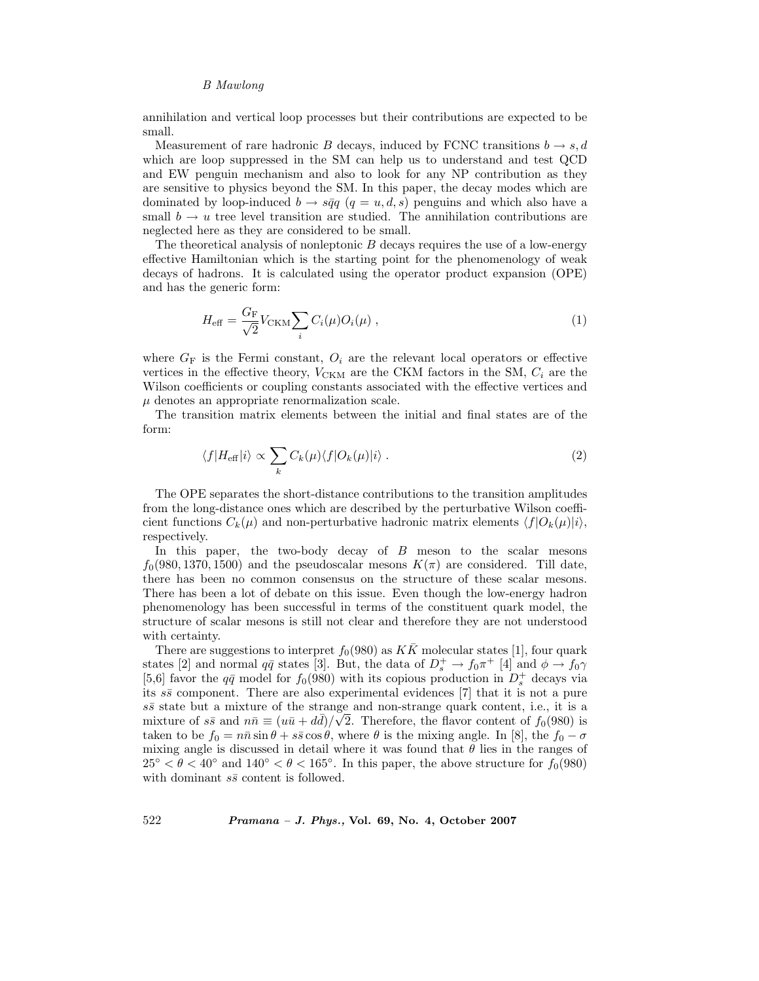annihilation and vertical loop processes but their contributions are expected to be small.

Measurement of rare hadronic B decays, induced by FCNC transitions  $b \rightarrow s, d$ which are loop suppressed in the SM can help us to understand and test QCD and EW penguin mechanism and also to look for any NP contribution as they are sensitive to physics beyond the SM. In this paper, the decay modes which are dominated by loop-induced  $b \to s\bar{q}q$  ( $q = u, d, s$ ) penguins and which also have a small  $b \to u$  tree level transition are studied. The annihilation contributions are neglected here as they are considered to be small.

The theoretical analysis of nonleptonic  $B$  decays requires the use of a low-energy effective Hamiltonian which is the starting point for the phenomenology of weak decays of hadrons. It is calculated using the operator product expansion (OPE) and has the generic form:

$$
H_{\text{eff}} = \frac{G_{\text{F}}}{\sqrt{2}} V_{\text{CKM}} \sum_{i} C_{i}(\mu) O_{i}(\mu) , \qquad (1)
$$

where  $G_F$  is the Fermi constant,  $O_i$  are the relevant local operators or effective vertices in the effective theory,  $V_{\text{CKM}}$  are the CKM factors in the SM,  $C_i$  are the Wilson coefficients or coupling constants associated with the effective vertices and  $\mu$  denotes an appropriate renormalization scale.

The transition matrix elements between the initial and final states are of the form:

$$
\langle f|H_{\text{eff}}|i\rangle \propto \sum_{k} C_{k}(\mu) \langle f|O_{k}(\mu)|i\rangle . \tag{2}
$$

The OPE separates the short-distance contributions to the transition amplitudes from the long-distance ones which are described by the perturbative Wilson coefficient functions  $C_k(\mu)$  and non-perturbative hadronic matrix elements  $\langle f|O_k(\mu)|i\rangle$ , respectively.

In this paper, the two-body decay of  $B$  meson to the scalar mesons  $f_0(980, 1370, 1500)$  and the pseudoscalar mesons  $K(\pi)$  are considered. Till date, there has been no common consensus on the structure of these scalar mesons. There has been a lot of debate on this issue. Even though the low-energy hadron phenomenology has been successful in terms of the constituent quark model, the structure of scalar mesons is still not clear and therefore they are not understood with certainty.

There are suggestions to interpret  $f_0(980)$  as  $K\overline{K}$  molecular states [1], four quark states [2] and normal  $q\bar{q}$  states [3]. But, the data of  $D_s^+ \to f_0 \pi^+$  [4] and  $\phi \to f_0 \gamma$ [5,6] favor the  $q\bar{q}$  model for  $f_0(980)$  with its copious production in  $D_s^+$  decays via its  $s\bar{s}$  component. There are also experimental evidences [7] that it is not a pure  $s\bar{s}$  state but a mixture of the strange and non-strange quark content, i.e., it is a mixture of  $s\bar{s}$  and  $n\bar{n} \equiv (u\bar{u} + d\bar{d})/\sqrt{2}$ . Therefore, the flavor content of  $f_0(980)$  is taken to be  $f_0 = n\bar{n} \sin \theta + s\bar{s} \cos \theta$ , where  $\theta$  is the mixing angle. In [8], the  $f_0 - \sigma$ mixing angle is discussed in detail where it was found that  $\theta$  lies in the ranges of  $25^{\circ} < \theta < 40^{\circ}$  and  $140^{\circ} < \theta < 165^{\circ}$ . In this paper, the above structure for  $f_0(980)$ with dominant  $s\bar{s}$  content is followed.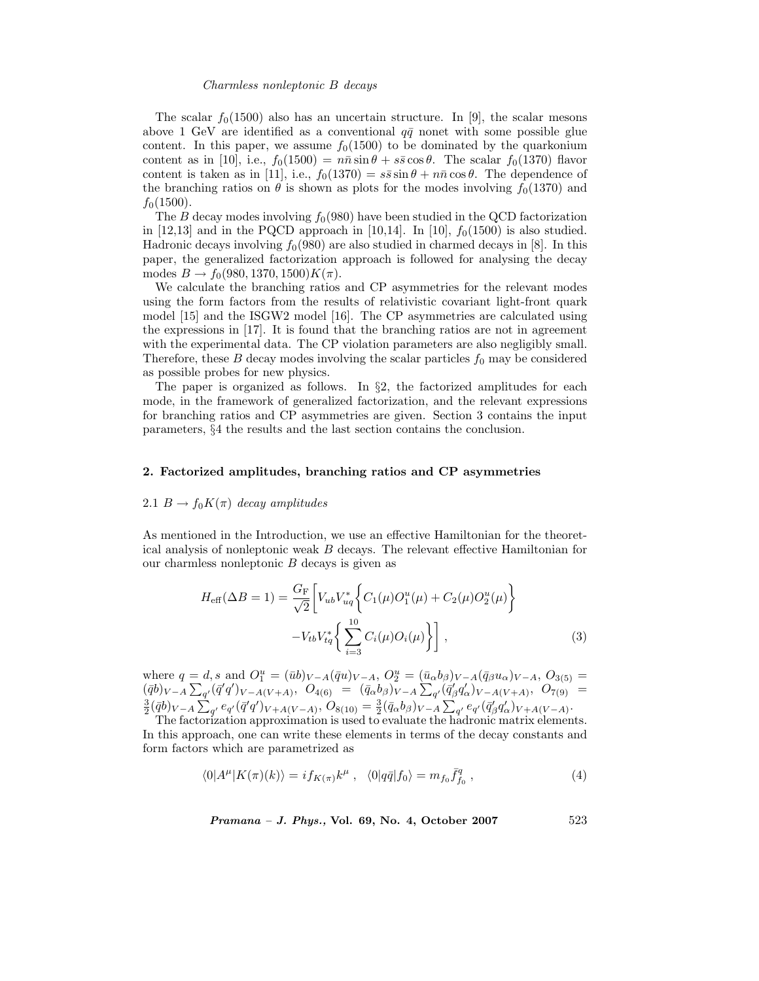The scalar  $f_0(1500)$  also has an uncertain structure. In [9], the scalar mesons above 1 GeV are identified as a conventional  $q\bar{q}$  nonet with some possible glue content. In this paper, we assume  $f_0(1500)$  to be dominated by the quarkonium content as in [10], i.e.,  $f_0(1500) = n\bar{n} \sin \theta + s\bar{s} \cos \theta$ . The scalar  $f_0(1370)$  flavor content is taken as in [11], i.e.,  $f_0(1370) = s\bar{s}\sin\theta + n\bar{n}\cos\theta$ . The dependence of the branching ratios on  $\theta$  is shown as plots for the modes involving  $f_0(1370)$  and  $f_0(1500)$ .

The B decay modes involving  $f_0(980)$  have been studied in the QCD factorization in [12,13] and in the PQCD approach in [10,14]. In [10],  $f_0(1500)$  is also studied. Hadronic decays involving  $f_0(980)$  are also studied in charmed decays in [8]. In this paper, the generalized factorization approach is followed for analysing the decay modes  $B \to f_0(980, 1370, 1500)K(\pi)$ .

We calculate the branching ratios and CP asymmetries for the relevant modes using the form factors from the results of relativistic covariant light-front quark model [15] and the ISGW2 model [16]. The CP asymmetries are calculated using the expressions in [17]. It is found that the branching ratios are not in agreement with the experimental data. The CP violation parameters are also negligibly small. Therefore, these  $B$  decay modes involving the scalar particles  $f_0$  may be considered as possible probes for new physics.

The paper is organized as follows. In §2, the factorized amplitudes for each mode, in the framework of generalized factorization, and the relevant expressions for branching ratios and CP asymmetries are given. Section 3 contains the input parameters, §4 the results and the last section contains the conclusion.

### **2. Factorized amplitudes, branching ratios and CP asymmetries**

### 2.1  $B \to f_0 K(\pi)$  *decay amplitudes*

As mentioned in the Introduction, we use an effective Hamiltonian for the theoretical analysis of nonleptonic weak B decays. The relevant effective Hamiltonian for our charmless nonleptonic  $B$  decays is given as

$$
H_{\text{eff}}(\Delta B = 1) = \frac{G_{\text{F}}}{\sqrt{2}} \left[ V_{ub} V_{uq}^* \left\{ C_1(\mu) O_1^u(\mu) + C_2(\mu) O_2^u(\mu) \right\} - V_{tb} V_{tq}^* \left\{ \sum_{i=3}^{10} C_i(\mu) O_i(\mu) \right\} \right],
$$
\n(3)

where  $q = d$ , s and  $O_1^u = (\bar{u}b)_{V-A}(\bar{q}u)_{V-A}, O_2^u = (\bar{u}_{\alpha}b_{\beta})_{V-A}(\bar{q}_{\beta}u_{\alpha})_{V-A}, O_{3(5)} =$  $(\bar{q}b)_{V-A}\sum_{q'}(\bar{q}'q')_{V-A(V+A)},\ \dot{O}_{4(6)}=(\bar{q}_{\alpha}b_{\beta})_{V-A}\sum_{q'}(\bar{q}'_{\beta}q'_{\alpha})_{V-A(V+A)},\ \dot{O}_{7(9)}=(\bar{q}_{\alpha}b_{\beta})_{V-A}\sum_{q'}(\bar{q}'_{\beta}q'_{\alpha})_{V-A(V+A)},\ \dot{O}_{7(9)}=(\bar{q}_{\alpha}b_{\beta})_{V-A}\sum_{q'}(\bar{q}'_{\beta}q'_{\alpha})_{V-A(V+A)},\ \dot{O}_{7(9)}=(\bar{q}_{\alpha}b_{\beta})_{V-A}$  $\frac{3}{2}(\bar{q}b)_{V-A}\sum_{q'}e_{q'}(\bar{q}'q')_{V+A(V-A)},$   $O_{8(10)}=\frac{3}{2}(\bar{q}_{\alpha}b_{\beta})_{V-A}\sum_{q'}e_{q'}(\bar{q}'_{\beta}q'_{\alpha})_{V+A(V-A)}.$ 

The factorization approximation is used to evaluate the hadronic matrix elements. In this approach, one can write these elements in terms of the decay constants and form factors which are parametrized as

$$
\langle 0|A^{\mu}|K(\pi)(k)\rangle = i f_{K(\pi)}k^{\mu} , \quad \langle 0|q\bar{q}|f_0\rangle = m_{f_0}\bar{f}_{f_0}^q , \qquad (4)
$$

*Pramana – J. Phys.,* **Vol. 69, No. 4, October 2007** 523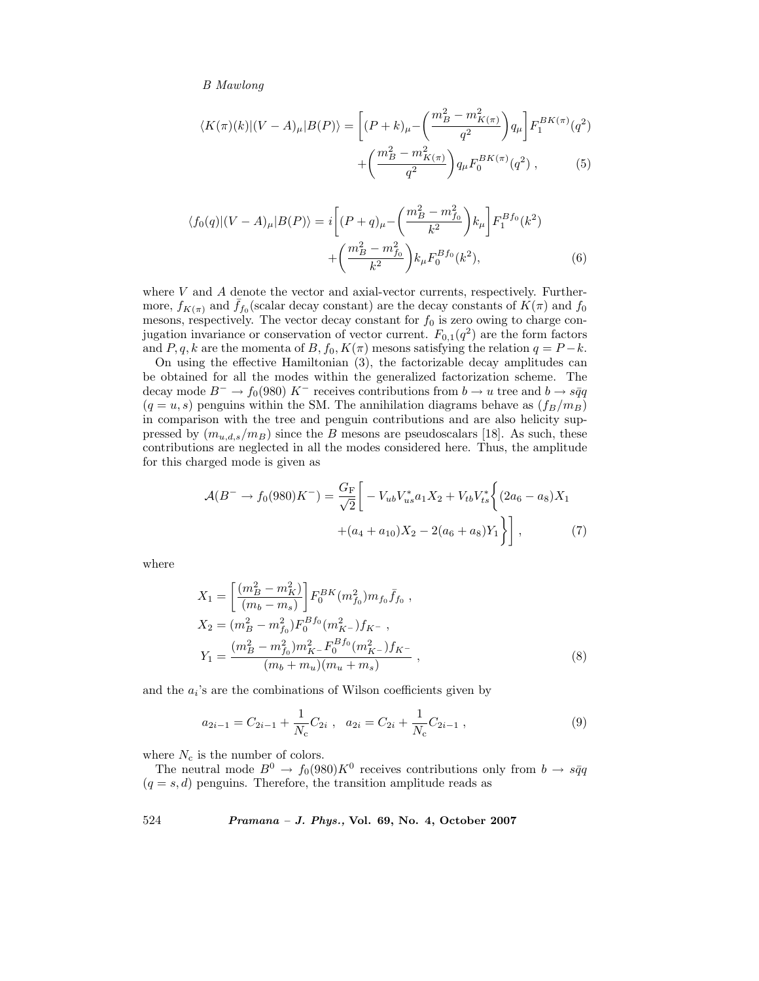$$
\langle K(\pi)(k)| (V - A)_{\mu} | B(P) \rangle = \left[ (P + k)_{\mu} - \left( \frac{m_B^2 - m_{K(\pi)}^2}{q^2} \right) q_{\mu} \right] F_1^{BK(\pi)}(q^2) + \left( \frac{m_B^2 - m_{K(\pi)}^2}{q^2} \right) q_{\mu} F_0^{BK(\pi)}(q^2) , \qquad (5)
$$

$$
\langle f_0(q)| (V - A)_{\mu} | B(P) \rangle = i \left[ (P + q)_{\mu} - \left( \frac{m_B^2 - m_{f_0}^2}{k^2} \right) k_{\mu} \right] F_1^{Bf_0}(k^2) + \left( \frac{m_B^2 - m_{f_0}^2}{k^2} \right) k_{\mu} F_0^{Bf_0}(k^2), \tag{6}
$$

where  $V$  and  $A$  denote the vector and axial-vector currents, respectively. Furthermore,  $f_{K(\pi)}$  and  $f_{f_0}$ (scalar decay constant) are the decay constants of  $K(\pi)$  and  $f_0$ mesons, respectively. The vector decay constant for  $f_0$  is zero owing to charge conjugation invariance or conservation of vector current.  $F_{0,1}(q^2)$  are the form factors and P, q, k are the momenta of B,  $f_0$ ,  $K(\pi)$  mesons satisfying the relation  $q = P - k$ .

On using the effective Hamiltonian (3), the factorizable decay amplitudes can be obtained for all the modes within the generalized factorization scheme. The decay mode  $B^- \to f_0(980) K^-$  receives contributions from  $b \to u$  tree and  $b \to s\bar{q}q$  $(q = u, s)$  penguins within the SM. The annihilation diagrams behave as  $(f_B/m_B)$ in comparison with the tree and penguin contributions and are also helicity suppressed by  $(m_{u,d,s}/m_B)$  since the B mesons are pseudoscalars [18]. As such, these contributions are neglected in all the modes considered here. Thus, the amplitude for this charged mode is given as

$$
\mathcal{A}(B^{-} \to f_{0}(980)K^{-}) = \frac{G_{\rm F}}{\sqrt{2}} \left[ -V_{ub}V_{us}^{*}a_{1}X_{2} + V_{tb}V_{ts}^{*} \left\{ (2a_{6} - a_{8})X_{1} + (a_{4} + a_{10})X_{2} - 2(a_{6} + a_{8})Y_{1} \right\} \right],
$$
\n(7)

where

$$
X_1 = \left[\frac{(m_B^2 - m_K^2)}{(m_b - m_s)}\right] F_0^{BK} (m_{f_0}^2) m_{f_0} \bar{f}_{f_0} ,
$$
  
\n
$$
X_2 = (m_B^2 - m_{f_0}^2) F_0^{Bf_0} (m_{K^-}^2) f_{K^-} ,
$$
  
\n
$$
Y_1 = \frac{(m_B^2 - m_{f_0}^2) m_{K^-}^2 F_0^{Bf_0} (m_{K^-}^2) f_{K^-}}{(m_b + m_u)(m_u + m_s)} ,
$$
  
\n(8)

and the  $a_i$ 's are the combinations of Wilson coefficients given by

$$
a_{2i-1} = C_{2i-1} + \frac{1}{N_c} C_{2i} , \quad a_{2i} = C_{2i} + \frac{1}{N_c} C_{2i-1} , \tag{9}
$$

where  $N_c$  is the number of colors.

The neutral mode  $B^0 \to f_0(980)K^0$  receives contributions only from  $b \to s\bar{q}q$  $(q = s, d)$  penguins. Therefore, the transition amplitude reads as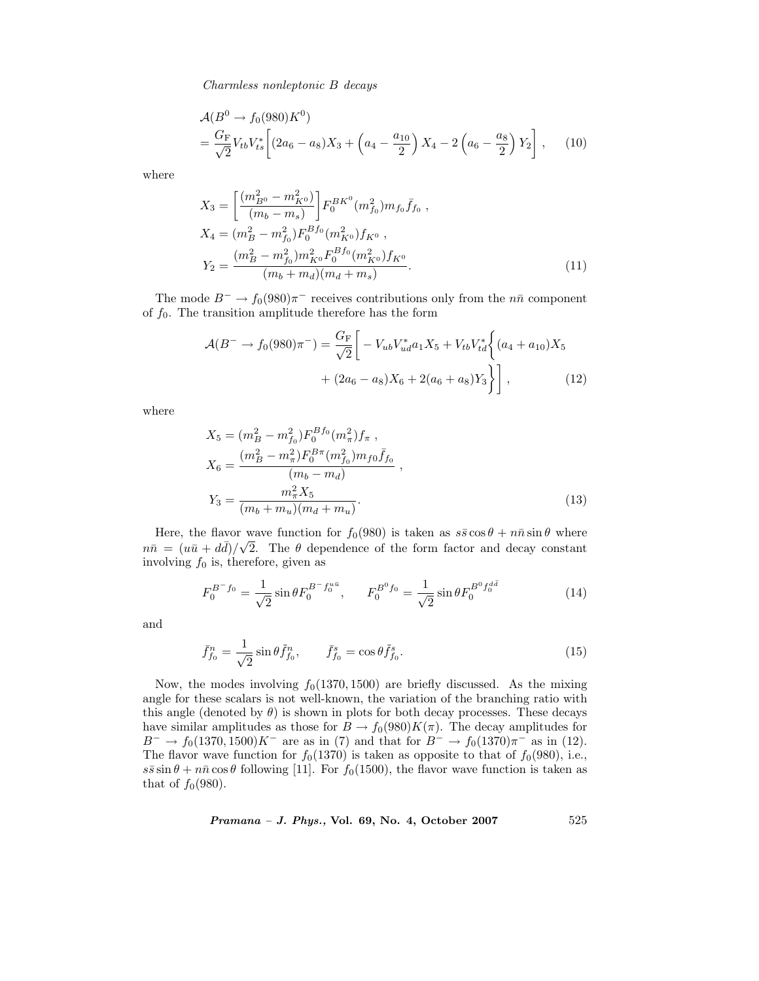$$
\mathcal{A}(B^0 \to f_0(980)K^0) = \frac{G_F}{\sqrt{2}} V_{tb} V_{ts}^* \left[ (2a_6 - a_8)X_3 + \left( a_4 - \frac{a_{10}}{2} \right) X_4 - 2 \left( a_6 - \frac{a_8}{2} \right) Y_2 \right], \quad (10)
$$

where

$$
X_3 = \left[\frac{(m_{B^0}^2 - m_{K^0}^2)}{(m_b - m_s)}\right] F_0^{BK^0}(m_{f_0}^2) m_{f_0} \bar{f}_{f_0} ,
$$
  
\n
$$
X_4 = (m_B^2 - m_{f_0}^2) F_0^{Bf_0}(m_{K^0}^2) f_{K^0} ,
$$
  
\n
$$
Y_2 = \frac{(m_B^2 - m_{f_0}^2) m_{K^0}^2 F_0^{Bf_0}(m_{K^0}^2) f_{K^0}}{(m_b + m_d)(m_d + m_s)} .
$$
\n(11)

The mode  $B^- \to f_0(980)\pi^-$  receives contributions only from the  $n\bar{n}$  component of  $f_0$ . The transition amplitude therefore has the form

$$
\mathcal{A}(B^{-} \to f_{0}(980)\pi^{-}) = \frac{G_{\rm F}}{\sqrt{2}} \bigg[ -V_{ub}V_{ud}^{*}a_{1}X_{5} + V_{tb}V_{td}^{*} \bigg\{ (a_{4} + a_{10})X_{5} + (2a_{6} - a_{8})X_{6} + 2(a_{6} + a_{8})Y_{3} \bigg\} \bigg],
$$
\n(12)

where

$$
X_5 = (m_B^2 - m_{f_0}^2) F_0^{Bf_0}(m_{\pi}^2) f_{\pi} ,
$$
  
\n
$$
X_6 = \frac{(m_B^2 - m_{\pi}^2) F_0^{B\pi}(m_{f_0}^2) m_{f0} \bar{f}_{f_0}}{(m_b - m_d)} ,
$$
  
\n
$$
Y_3 = \frac{m_{\pi}^2 X_5}{(m_b + m_u)(m_d + m_u)} .
$$
\n(13)

Here, the flavor wave function for  $f_0(980)$  is taken as  $s\bar{s}\cos\theta + n\bar{n}\sin\theta$  where  $n\bar{n} = (u\bar{u} + d\bar{d})/\sqrt{2}$ . The  $\theta$  dependence of the form factor and decay constant involving  $f_0$  is, therefore, given as

$$
F_0^{B^-f_0} = \frac{1}{\sqrt{2}} \sin \theta F_0^{B^-f_0^{u\bar{u}}}, \qquad F_0^{B^0f_0} = \frac{1}{\sqrt{2}} \sin \theta F_0^{B^0f_0^{d\bar{d}}}
$$
(14)

and

$$
\bar{f}_{f_0}^n = \frac{1}{\sqrt{2}} \sin \theta \tilde{f}_{f_0}^n, \qquad \bar{f}_{f_0}^s = \cos \theta \tilde{f}_{f_0}^s. \tag{15}
$$

Now, the modes involving  $f_0(1370, 1500)$  are briefly discussed. As the mixing angle for these scalars is not well-known, the variation of the branching ratio with this angle (denoted by  $\theta$ ) is shown in plots for both decay processes. These decays have similar amplitudes as those for  $B \to f_0(980)K(\pi)$ . The decay amplitudes for  $B^- \to f_0(1370, 1500)K^-$  are as in (7) and that for  $B^- \to f_0(1370)\pi^-$  as in (12). The flavor wave function for  $f_0(1370)$  is taken as opposite to that of  $f_0(980)$ , i.e.,  $s\bar{s}\sin\theta + n\bar{n}\cos\theta$  following [11]. For  $f_0(1500)$ , the flavor wave function is taken as that of  $f_0(980)$ .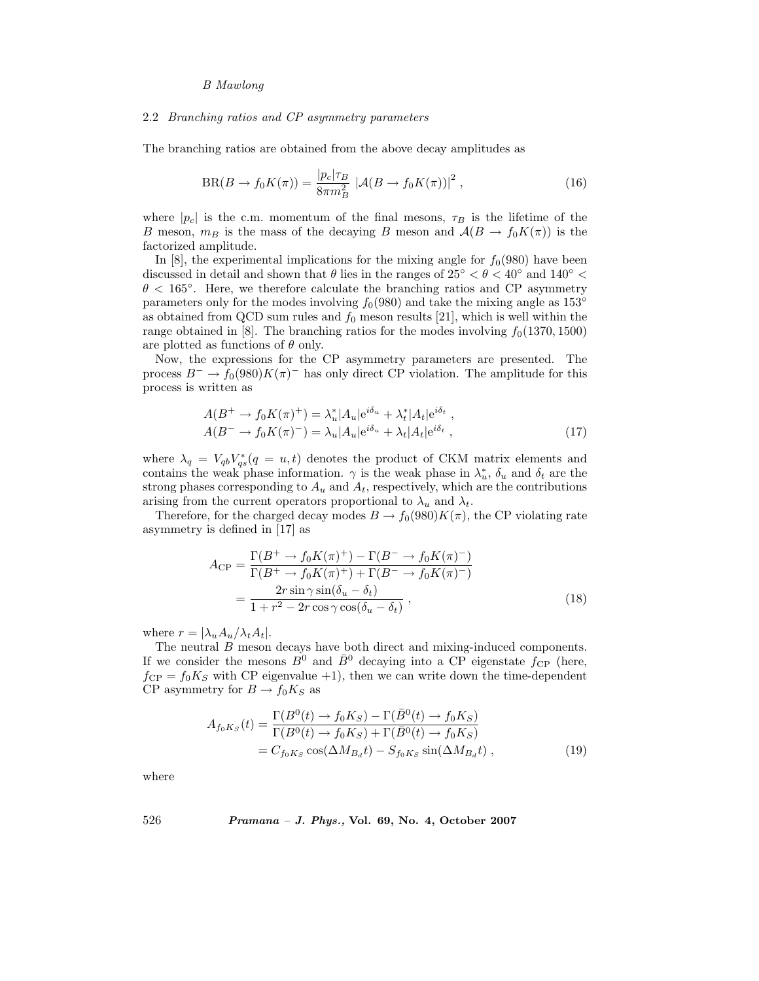#### 2.2 *Branching ratios and CP asymmetry parameters*

The branching ratios are obtained from the above decay amplitudes as

$$
BR(B \to f_0 K(\pi)) = \frac{|p_c|\tau_B}{8\pi m_B^2} \left| \mathcal{A}(B \to f_0 K(\pi)) \right|^2, \qquad (16)
$$

where  $|p_c|$  is the c.m. momentum of the final mesons,  $\tau_B$  is the lifetime of the B meson,  $m_B$  is the mass of the decaying B meson and  $\mathcal{A}(B \to f_0 K(\pi))$  is the factorized amplitude.

In [8], the experimental implications for the mixing angle for  $f_0(980)$  have been discussed in detail and shown that  $\theta$  lies in the ranges of 25°  $\leq \theta \leq 40^{\circ}$  and 140°  $\leq$  $\theta$  < 165 $^{\circ}$ . Here, we therefore calculate the branching ratios and CP asymmetry parameters only for the modes involving  $f_0(980)$  and take the mixing angle as 153<sup>°</sup> as obtained from QCD sum rules and  $f_0$  meson results [21], which is well within the range obtained in [8]. The branching ratios for the modes involving  $f_0(1370, 1500)$ are plotted as functions of  $\theta$  only.

Now, the expressions for the CP asymmetry parameters are presented. The process  $B^- \to f_0(980)K(\pi)^-$  has only direct CP violation. The amplitude for this process is written as

$$
A(B^+ \to f_0 K(\pi)^+) = \lambda_u^* |A_u| e^{i\delta_u} + \lambda_t^* |A_t| e^{i\delta_t} ,
$$
  
 
$$
A(B^- \to f_0 K(\pi)^-) = \lambda_u |A_u| e^{i\delta_u} + \lambda_t |A_t| e^{i\delta_t} ,
$$
 (17)

where  $\lambda_q = V_{qb} V_{qs}^* (q = u, t)$  denotes the product of CKM matrix elements and contains the weak phase information.  $\gamma$  is the weak phase in  $\lambda_u^*, \delta_u$  and  $\delta_t$  are the strong phases corresponding to  $A_u$  and  $A_t$ , respectively, which are the contributions arising from the current operators proportional to  $\lambda_u$  and  $\lambda_t$ .

Therefore, for the charged decay modes  $B \to f_0(980)K(\pi)$ , the CP violating rate asymmetry is defined in [17] as

$$
A_{\rm CP} = \frac{\Gamma(B^+ \to f_0 K(\pi)^+) - \Gamma(B^- \to f_0 K(\pi)^-)}{\Gamma(B^+ \to f_0 K(\pi)^+) + \Gamma(B^- \to f_0 K(\pi)^-)} = \frac{2r \sin \gamma \sin(\delta_u - \delta_t)}{1 + r^2 - 2r \cos \gamma \cos(\delta_u - \delta_t)},
$$
(18)

where  $r = |\lambda_u A_u / \lambda_t A_t|$ .

The neutral B meson decays have both direct and mixing-induced components. If we consider the mesons  $B^0$  and  $\bar{B}^0$  decaying into a CP eigenstate  $f_{\rm CP}$  (here,  $f_{\rm CP} = f_0 K_S$  with CP eigenvalue +1), then we can write down the time-dependent CP asymmetry for  $B \to f_0 K_S$  as

$$
A_{f_0K_S}(t) = \frac{\Gamma(B^0(t) \to f_0K_S) - \Gamma(\bar{B}^0(t) \to f_0K_S)}{\Gamma(B^0(t) \to f_0K_S) + \Gamma(\bar{B}^0(t) \to f_0K_S)}
$$
  
=  $C_{f_0K_S} \cos(\Delta M_{B_d}t) - S_{f_0K_S} \sin(\Delta M_{B_d}t)$ , (19)

where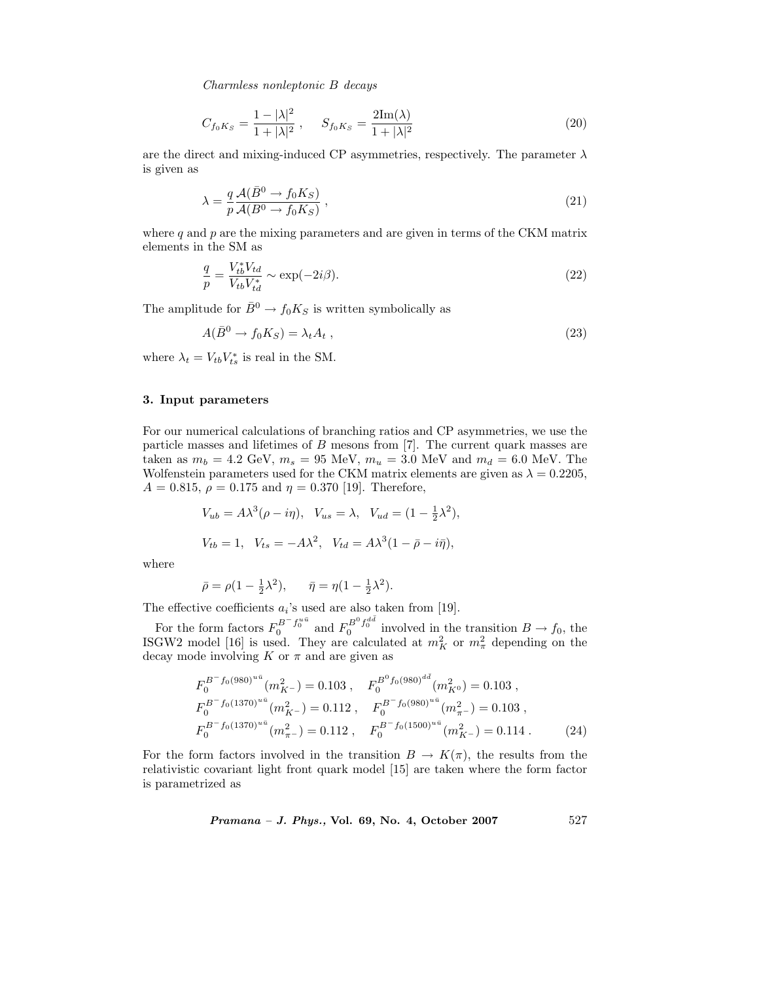$$
C_{f_0K_S} = \frac{1 - |\lambda|^2}{1 + |\lambda|^2}, \qquad S_{f_0K_S} = \frac{2\mathrm{Im}(\lambda)}{1 + |\lambda|^2}
$$
(20)

are the direct and mixing-induced CP asymmetries, respectively. The parameter  $\lambda$ is given as

$$
\lambda = \frac{q}{p} \frac{\mathcal{A}(\bar{B}^0 \to f_0 K_S)}{\mathcal{A}(B^0 \to f_0 K_S)},
$$
\n(21)

where  $q$  and  $p$  are the mixing parameters and are given in terms of the CKM matrix elements in the SM as

$$
\frac{q}{p} = \frac{V_{tb}^* V_{td}}{V_{tb} V_{td}^*} \sim \exp(-2i\beta). \tag{22}
$$

The amplitude for  $\bar{B}^0 \to f_0 K_S$  is written symbolically as

$$
A(\bar{B}^0 \to f_0 K_S) = \lambda_t A_t , \qquad (23)
$$

where  $\lambda_t = V_{tb} V_{ts}^*$  is real in the SM.

#### **3. Input parameters**

For our numerical calculations of branching ratios and CP asymmetries, we use the particle masses and lifetimes of  $B$  mesons from [7]. The current quark masses are taken as  $m_b = 4.2 \text{ GeV}, m_s = 95 \text{ MeV}, m_u = 3.0 \text{ MeV}$  and  $m_d = 6.0 \text{ MeV}$ . The Wolfenstein parameters used for the CKM matrix elements are given as  $\lambda = 0.2205$ ,  $A = 0.815$ ,  $\rho = 0.175$  and  $\eta = 0.370$  [19]. Therefore,

$$
V_{ub} = A\lambda^3(\rho - i\eta), \quad V_{us} = \lambda, \quad V_{ud} = (1 - \frac{1}{2}\lambda^2),
$$
  

$$
V_{tb} = 1, \quad V_{ts} = -A\lambda^2, \quad V_{td} = A\lambda^3(1 - \bar{\rho} - i\bar{\eta}),
$$

where

$$
\bar{\rho} = \rho (1 - \frac{1}{2}\lambda^2), \quad \bar{\eta} = \eta (1 - \frac{1}{2}\lambda^2).
$$

The effective coefficients  $a_i$ 's used are also taken from [19].

For the form factors  $F_0^{B^-} f_0^{u\bar{u}}$  and  $F_0^{B^0} f_0^{d\bar{d}}$  involved in the transition  $B \to f_0$ , the ISGW2 model [16] is used. They are calculated at  $m_K^2$  or  $m_{\pi}^2$  depending on the decay mode involving K or  $\pi$  and are given as

$$
F_0^{B^- f_0(980)^{u\bar{u}}}(m_{K^-}^2) = 0.103 \ , \quad F_0^{B^0 f_0(980)^{d\bar{d}}}(m_{K^0}^2) = 0.103 \ ,
$$
  
\n
$$
F_0^{B^- f_0(1370)^{u\bar{u}}}(m_{K^-}^2) = 0.112 \ , \quad F_0^{B^- f_0(980)^{u\bar{u}}}(m_{\pi^-}^2) = 0.103 \ ,
$$
  
\n
$$
F_0^{B^- f_0(1370)^{u\bar{u}}}(m_{\pi^-}^2) = 0.112 \ , \quad F_0^{B^- f_0(1500)^{u\bar{u}}}(m_{K^-}^2) = 0.114 \ . \tag{24}
$$

For the form factors involved in the transition  $B \to K(\pi)$ , the results from the relativistic covariant light front quark model [15] are taken where the form factor is parametrized as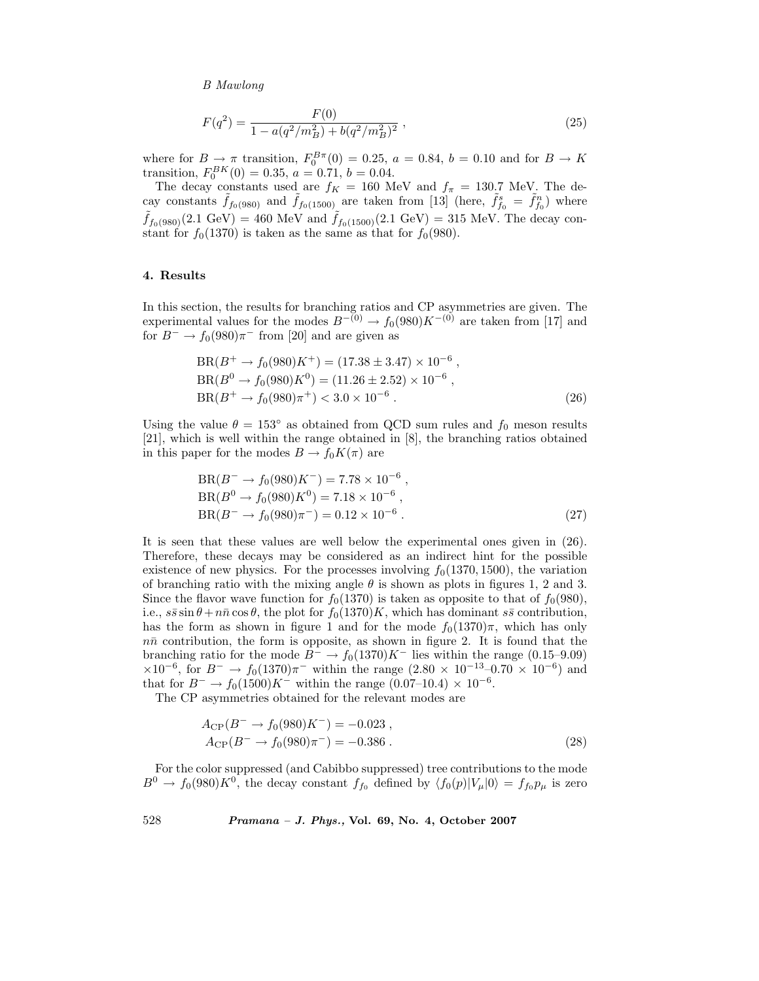$$
F(q^2) = \frac{F(0)}{1 - a(q^2/m_B^2) + b(q^2/m_B^2)^2} \,,\tag{25}
$$

where for  $B \to \pi$  transition,  $F_0^{B\pi}(0) = 0.25$ ,  $a = 0.84$ ,  $b = 0.10$  and for  $B \to K$ transition,  $F_0^{BK}(0) = 0.35, a = 0.71, b = 0.04.$ 

The decay constants used are  $f_K = 160$  MeV and  $f_\pi = 130.7$  MeV. The decay constants  $\tilde{f}_{f_0(980)}$  and  $\tilde{f}_{f_0(1500)}$  are taken from [13] (here,  $\tilde{f}_{f_0}^s = \tilde{f}_{f_0}^n$ ) where  $\tilde{f}_{f_0(980)}(2.1 \text{ GeV}) = 460 \text{ MeV}$  and  $\tilde{f}_{f_0(1500)}(2.1 \text{ GeV}) = 315 \text{ MeV}$ . The decay constant for  $f_0(1370)$  is taken as the same as that for  $f_0(980)$ .

# **4. Results**

In this section, the results for branching ratios and CP asymmetries are given. The experimental values for the modes  $B^{-(0)} \to f_0(980)K^{-(0)}$  are taken from [17] and for  $B^- \to f_0(980)\pi^-$  from [20] and are given as

$$
BR(B^+ \to f_0(980)K^+) = (17.38 \pm 3.47) \times 10^{-6},
$$
  
\n
$$
BR(B^0 \to f_0(980)K^0) = (11.26 \pm 2.52) \times 10^{-6},
$$
  
\n
$$
BR(B^+ \to f_0(980)\pi^+) < 3.0 \times 10^{-6}.
$$
\n(26)

Using the value  $\theta = 153^{\circ}$  as obtained from QCD sum rules and  $f_0$  meson results [21], which is well within the range obtained in [8], the branching ratios obtained in this paper for the modes  $B \to f_0 K(\pi)$  are

$$
BR(B^{-} \to f_{0}(980)K^{-}) = 7.78 \times 10^{-6},
$$
  
\n
$$
BR(B^{0} \to f_{0}(980)K^{0}) = 7.18 \times 10^{-6},
$$
  
\n
$$
BR(B^{-} \to f_{0}(980)\pi^{-}) = 0.12 \times 10^{-6}.
$$
\n(27)

It is seen that these values are well below the experimental ones given in (26). Therefore, these decays may be considered as an indirect hint for the possible existence of new physics. For the processes involving  $f_0(1370, 1500)$ , the variation of branching ratio with the mixing angle  $\theta$  is shown as plots in figures 1, 2 and 3. Since the flavor wave function for  $f_0(1370)$  is taken as opposite to that of  $f_0(980)$ , i.e.,  $s\bar{s}\sin\theta + n\bar{n}\cos\theta$ , the plot for  $f_0(1370)K$ , which has dominant  $s\bar{s}$  contribution, has the form as shown in figure 1 and for the mode  $f_0(1370)\pi$ , which has only  $n\bar{n}$  contribution, the form is opposite, as shown in figure 2. It is found that the branching ratio for the mode  $B^- \to f_0(1370)K^-$  lies within the range (0.15–9.09)  $\times10^{-6}$ , for  $B^-$  →  $f_0(1370)\pi^-$  within the range  $(2.80 \times 10^{-13} - 0.70 \times 10^{-6})$  and that for  $B^- \to f_0(1500)K^-$  within the range  $(0.07-10.4) \times 10^{-6}$ .

The CP asymmetries obtained for the relevant modes are

$$
A_{\rm CP}(B^- \to f_0(980)K^-) = -0.023 ,A_{\rm CP}(B^- \to f_0(980)\pi^-) = -0.386 .
$$
\n(28)

For the color suppressed (and Cabibbo suppressed) tree contributions to the mode  $B^0 \to f_0(980)K^0$ , the decay constant  $f_{f_0}$  defined by  $\langle f_0(p)|V_\mu|0\rangle = f_{f_0}p_\mu$  is zero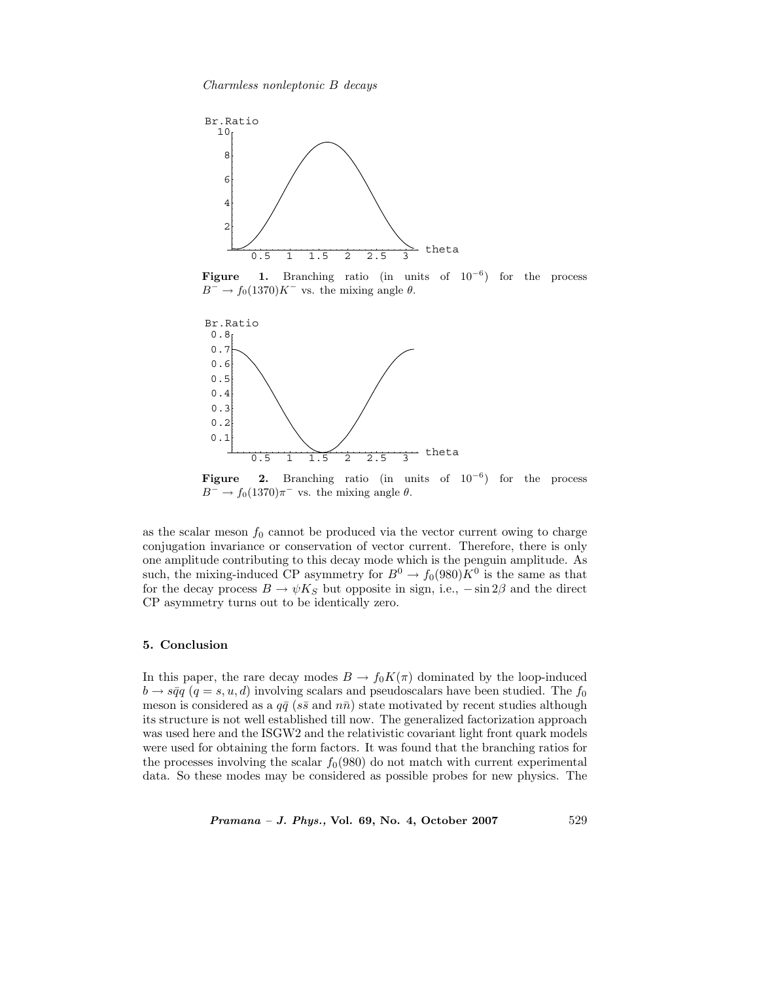

**Figure 1.** Branching ratio (in units of 10*−*<sup>6</sup>) for the process  $B^-$  →  $f_0(1370)K^-$  vs. the mixing angle  $\theta$ .



**Figure 2.** Branching ratio (in units of 10*−*<sup>6</sup>) for the process  $B^-$  →  $f_0(1370)\pi^-$  vs. the mixing angle  $\theta$ .

as the scalar meson  $f_0$  cannot be produced via the vector current owing to charge conjugation invariance or conservation of vector current. Therefore, there is only one amplitude contributing to this decay mode which is the penguin amplitude. As such, the mixing-induced CP asymmetry for  $B^0 \to f_0(980)K^0$  is the same as that for the decay process  $B \to \psi K_S$  but opposite in sign, i.e.,  $-\sin 2\beta$  and the direct CP asymmetry turns out to be identically zero.

# **5. Conclusion**

In this paper, the rare decay modes  $B \to f_0 K(\pi)$  dominated by the loop-induced  $b \rightarrow s\bar{q}q$  (q = s, u, d) involving scalars and pseudoscalars have been studied. The f<sub>0</sub> meson is considered as a  $q\bar{q}$  (ss and  $n\bar{n}$ ) state motivated by recent studies although its structure is not well established till now. The generalized factorization approach was used here and the ISGW2 and the relativistic covariant light front quark models were used for obtaining the form factors. It was found that the branching ratios for the processes involving the scalar  $f_0(980)$  do not match with current experimental data. So these modes may be considered as possible probes for new physics. The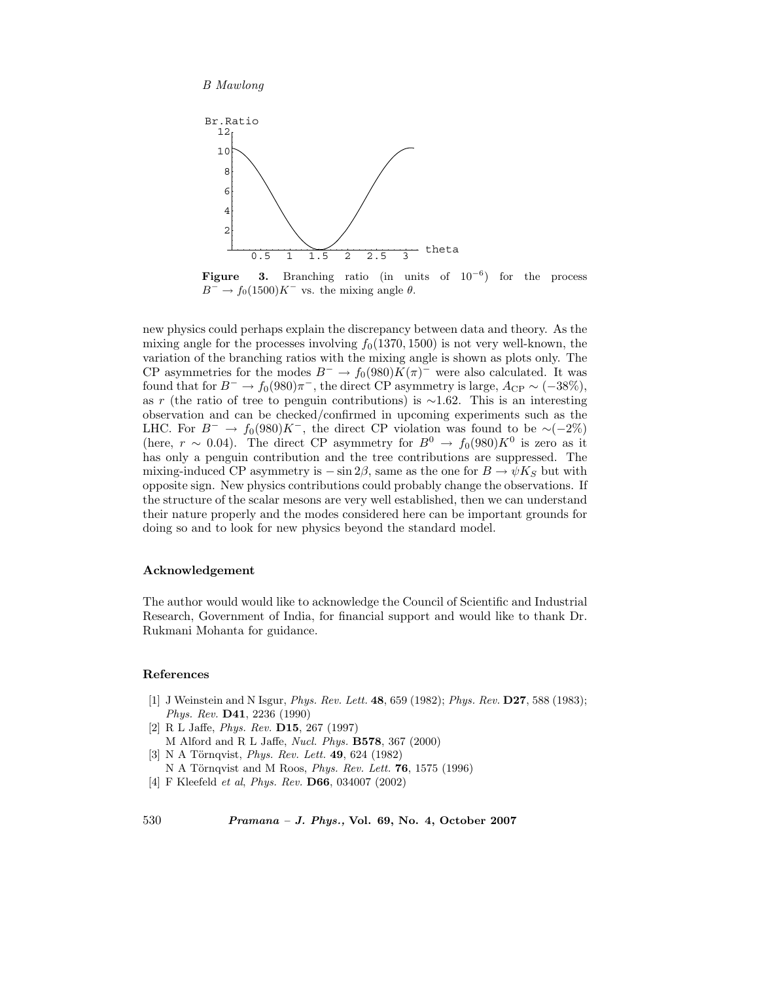

**Figure 3.** Branching ratio (in units of 10*−*<sup>6</sup>) for the process  $B^-$  →  $f_0(1500)K^-$  vs. the mixing angle  $\theta$ .

new physics could perhaps explain the discrepancy between data and theory. As the mixing angle for the processes involving  $f_0(1370, 1500)$  is not very well-known, the variation of the branching ratios with the mixing angle is shown as plots only. The CP asymmetries for the modes  $B^- \to f_0(980)K(\pi)^-$  were also calculated. It was found that for  $B^- \to f_0(980)\pi^-$ , the direct CP asymmetry is large,  $A_{\rm CP} \sim (-38\%)$ , as <sup>r</sup> (the ratio of tree to penguin contributions) is <sup>∼</sup>1.62. This is an interesting observation and can be checked/confirmed in upcoming experiments such as the LHC. For  $B^-$  →  $f_0(980)K^-$ , the direct CP violation was found to be ~(-2%) (here,  $r \sim 0.04$ ). The direct CP asymmetry for  $B^0 \to f_0(980)K^0$  is zero as it has only a penguin contribution and the tree contributions are suppressed. The mixing-induced CP asymmetry is  $-\sin 2\beta$ , same as the one for  $B \to \psi K_S$  but with opposite sign. New physics contributions could probably change the observations. If the structure of the scalar mesons are very well established, then we can understand their nature properly and the modes considered here can be important grounds for doing so and to look for new physics beyond the standard model.

# **Acknowledgement**

The author would would like to acknowledge the Council of Scientific and Industrial Research, Government of India, for financial support and would like to thank Dr. Rukmani Mohanta for guidance.

# **References**

- [1] J Weinstein and N Isgur, *Phys. Rev. Lett.* **48**, 659 (1982); *Phys. Rev.* **D27**, 588 (1983); *Phys. Rev.* **D41**, 2236 (1990)
- [2] R L Jaffe, *Phys. Rev.* **D15**, 267 (1997)
- M Alford and R L Jaffe, *Nucl. Phys.* **B578**, 367 (2000)
- [3] N A Törnqvist, *Phys. Rev. Lett.* **49**, 624 (1982)
- N A Törnqvist and M Roos, *Phys. Rev. Lett.* **76**, 1575 (1996)
- [4] F Kleefeld *et al*, *Phys. Rev.* **D66**, 034007 (2002)